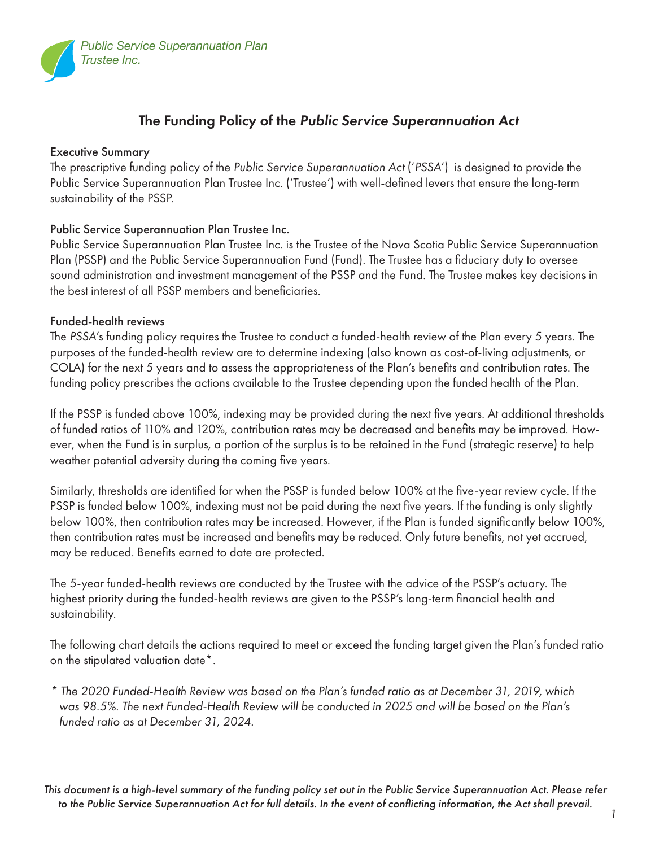

### The Funding Policy of the *Public Service Superannuation Act*

#### Executive Summary

The prescriptive funding policy of the *Public Service Superannuation Act* ('*PSSA*') is designed to provide the Public Service Superannuation Plan Trustee Inc. ('Trustee') with well-defined levers that ensure the long-term sustainability of the PSSP.

#### Public Service Superannuation Plan Trustee Inc.

Public Service Superannuation Plan Trustee Inc. is the Trustee of the Nova Scotia Public Service Superannuation Plan (PSSP) and the Public Service Superannuation Fund (Fund). The Trustee has a fiduciary duty to oversee sound administration and investment management of the PSSP and the Fund. The Trustee makes key decisions in the best interest of all PSSP members and beneficiaries.

#### Funded-health reviews

The *PSSA*'s funding policy requires the Trustee to conduct a funded-health review of the Plan every 5 years. The purposes of the funded-health review are to determine indexing (also known as cost-of-living adjustments, or COLA) for the next 5 years and to assess the appropriateness of the Plan's benefits and contribution rates. The funding policy prescribes the actions available to the Trustee depending upon the funded health of the Plan.

If the PSSP is funded above 100%, indexing may be provided during the next five years. At additional thresholds of funded ratios of 110% and 120%, contribution rates may be decreased and benefits may be improved. However, when the Fund is in surplus, a portion of the surplus is to be retained in the Fund (strategic reserve) to help weather potential adversity during the coming five years.

Similarly, thresholds are identified for when the PSSP is funded below 100% at the five-year review cycle. If the PSSP is funded below 100%, indexing must not be paid during the next five years. If the funding is only slightly below 100%, then contribution rates may be increased. However, if the Plan is funded significantly below 100%, then contribution rates must be increased and benefits may be reduced. Only future benefits, not yet accrued, may be reduced. Benefits earned to date are protected.

The 5-year funded-health reviews are conducted by the Trustee with the advice of the PSSP's actuary. The highest priority during the funded-health reviews are given to the PSSP's long-term financial health and sustainability.

The following chart details the actions required to meet or exceed the funding target given the Plan's funded ratio on the stipulated valuation date\*.

*\* The 2020 Funded-Health Review was based on the Plan's funded ratio as at December 31, 2019, which was 98.5%. The next Funded-Health Review will be conducted in 2025 and will be based on the Plan's funded ratio as at December 31, 2024.* 

 *1 This document is a high-level summary of the funding policy set out in the Public Service Superannuation Act. Please refer to the Public Service Superannuation Act for full details. In the event of conflicting information, the Act shall prevail.*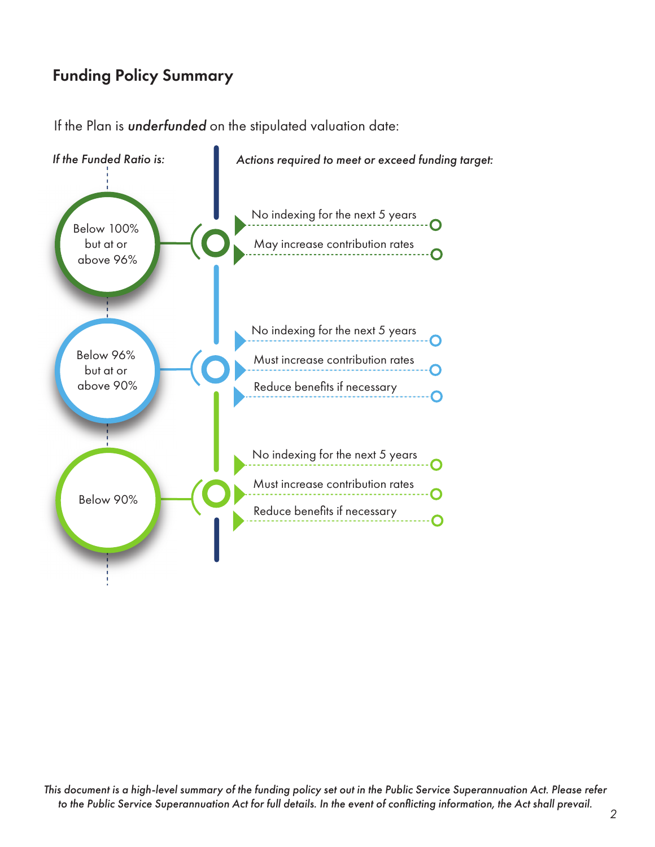## Funding Policy Summary

If the Plan is *underfunded* on the stipulated valuation date:



 *2 This document is a high-level summary of the funding policy set out in the Public Service Superannuation Act. Please refer to the Public Service Superannuation Act for full details. In the event of conflicting information, the Act shall prevail.*